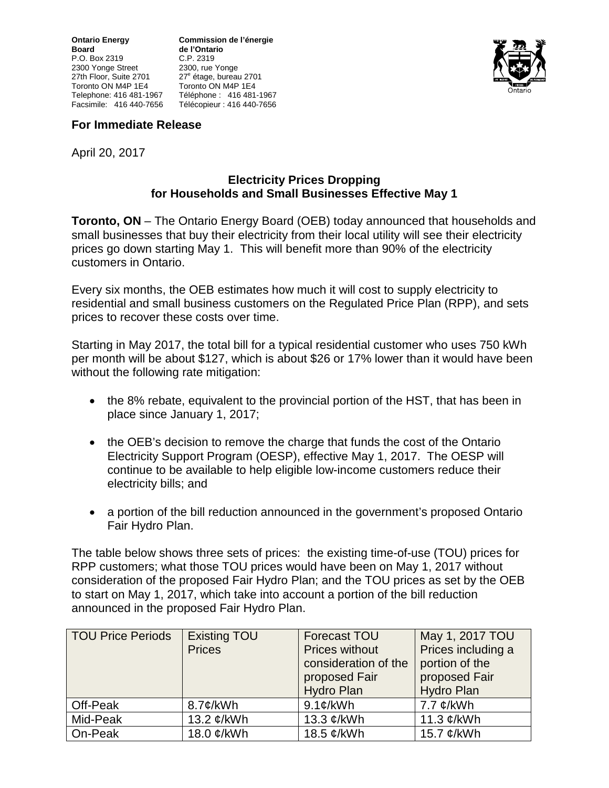P.O. Box 2319 2300 Yonge Street 2300, rue Yonge<br>27th Floor, Suite 2701 27<sup>e</sup> étage, bureat Toronto ON M4P 1E4<br>Telephone: 416 481-1967 Facsimile: 416 440-7656 Télécopieur : 416 440-7656

**Ontario Energy Commission de l'énergie de l'Ontario**<br>C.P. 2319 27<sup>e</sup> étage, bureau 2701<br>Toronto ON M4P 1E4 Telephone: 416 481-1967 Téléphone : 416 481-1967



## **For Immediate Release**

April 20, 2017

## **Electricity Prices Dropping for Households and Small Businesses Effective May 1**

**Toronto, ON** – The Ontario Energy Board (OEB) today announced that households and small businesses that buy their electricity from their local utility will see their electricity prices go down starting May 1. This will benefit more than 90% of the electricity customers in Ontario.

Every six months, the OEB estimates how much it will cost to supply electricity to residential and small business customers on the Regulated Price Plan (RPP), and sets prices to recover these costs over time.

Starting in May 2017, the total bill for a typical residential customer who uses 750 kWh per month will be about \$127, which is about \$26 or 17% lower than it would have been without the following rate mitigation:

- the 8% rebate, equivalent to the provincial portion of the HST, that has been in place since January 1, 2017;
- the OEB's decision to remove the charge that funds the cost of the Ontario Electricity Support Program (OESP), effective May 1, 2017. The OESP will continue to be available to help eligible low-income customers reduce their electricity bills; and
- a portion of the bill reduction announced in the government's proposed Ontario Fair Hydro Plan.

The table below shows three sets of prices: the existing time-of-use (TOU) prices for RPP customers; what those TOU prices would have been on May 1, 2017 without consideration of the proposed Fair Hydro Plan; and the TOU prices as set by the OEB to start on May 1, 2017, which take into account a portion of the bill reduction announced in the proposed Fair Hydro Plan.

| <b>TOU Price Periods</b> | <b>Existing TOU</b><br><b>Prices</b> | <b>Forecast TOU</b><br><b>Prices without</b><br>consideration of the<br>proposed Fair<br><b>Hydro Plan</b> | May 1, 2017 TOU<br>Prices including a<br>portion of the<br>proposed Fair<br><b>Hydro Plan</b> |
|--------------------------|--------------------------------------|------------------------------------------------------------------------------------------------------------|-----------------------------------------------------------------------------------------------|
| Off-Peak                 | $8.7$ ¢/kWh                          | $9.1$ ¢/kWh                                                                                                | 7.7 $\mathcal{C}/kWh$                                                                         |
| Mid-Peak                 | 13.2 ¢/kWh                           | 13.3 ¢/kWh                                                                                                 | 11.3 ¢/kWh                                                                                    |
| On-Peak                  | 18.0 ¢/kWh                           | 18.5 ¢/kWh                                                                                                 | 15.7 ¢/kWh                                                                                    |